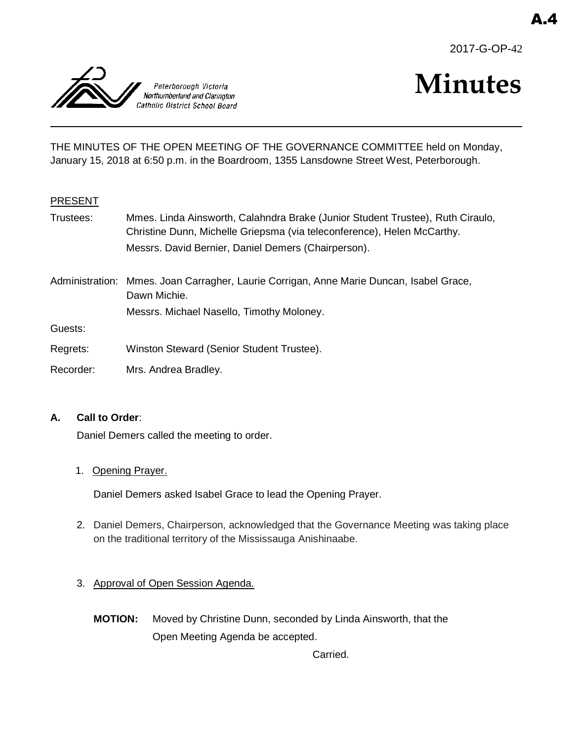



# **Minutes**

THE MINUTES OF THE OPEN MEETING OF THE GOVERNANCE COMMITTEE held on Monday, January 15, 2018 at 6:50 p.m. in the Boardroom, 1355 Lansdowne Street West, Peterborough.

#### PRESENT

- Trustees: Mmes. Linda Ainsworth, Calahndra Brake (Junior Student Trustee), Ruth Ciraulo, Christine Dunn, Michelle Griepsma (via teleconference), Helen McCarthy. Messrs. David Bernier, Daniel Demers (Chairperson).
- Administration: Mmes. Joan Carragher, Laurie Corrigan, Anne Marie Duncan, Isabel Grace, Dawn Michie. Messrs. Michael Nasello, Timothy Moloney.

Guests:

- Regrets: Winston Steward (Senior Student Trustee).
- Recorder: Mrs. Andrea Bradley.

#### **A. Call to Order**:

Daniel Demers called the meeting to order.

1. Opening Prayer.

Daniel Demers asked Isabel Grace to lead the Opening Prayer.

- 2. Daniel Demers, Chairperson, acknowledged that the Governance Meeting was taking place on the traditional territory of the Mississauga Anishinaabe.
- 3. Approval of Open Session Agenda.
	- **MOTION:** Moved by Christine Dunn, seconded by Linda Ainsworth, that the Open Meeting Agenda be accepted.

Carried.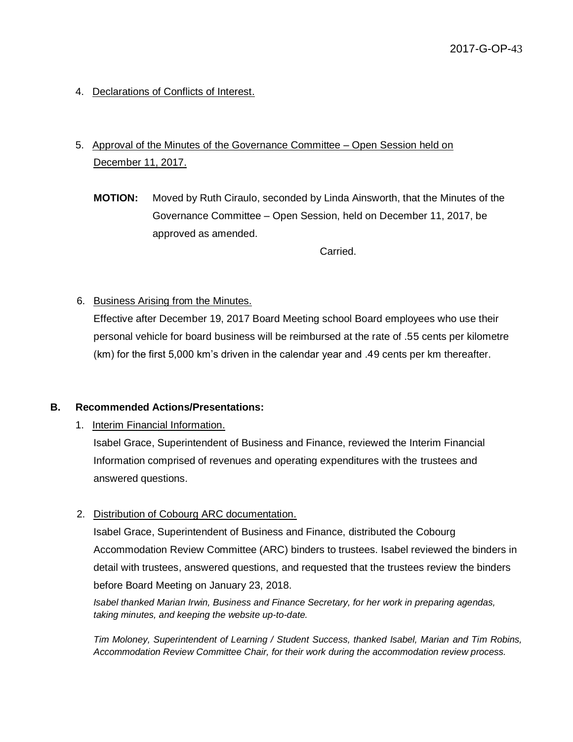4. Declarations of Conflicts of Interest.

# 5. Approval of the Minutes of the Governance Committee – Open Session held on December 11, 2017.

**MOTION:** Moved by Ruth Ciraulo, seconded by Linda Ainsworth, that the Minutes of the Governance Committee – Open Session, held on December 11, 2017, be approved as amended.

Carried.

## 6. Business Arising from the Minutes.

Effective after December 19, 2017 Board Meeting school Board employees who use their personal vehicle for board business will be reimbursed at the rate of .55 cents per kilometre (km) for the first 5,000 km's driven in the calendar year and .49 cents per km thereafter.

### **B. Recommended Actions/Presentations:**

1. Interim Financial Information.

Isabel Grace, Superintendent of Business and Finance, reviewed the Interim Financial Information comprised of revenues and operating expenditures with the trustees and answered questions.

#### 2. Distribution of Cobourg ARC documentation.

Isabel Grace, Superintendent of Business and Finance, distributed the Cobourg Accommodation Review Committee (ARC) binders to trustees. Isabel reviewed the binders in detail with trustees, answered questions, and requested that the trustees review the binders before Board Meeting on January 23, 2018.

*Isabel thanked Marian Irwin, Business and Finance Secretary, for her work in preparing agendas, taking minutes, and keeping the website up-to-date.*

*Tim Moloney, Superintendent of Learning / Student Success, thanked Isabel, Marian and Tim Robins, Accommodation Review Committee Chair, for their work during the accommodation review process.*